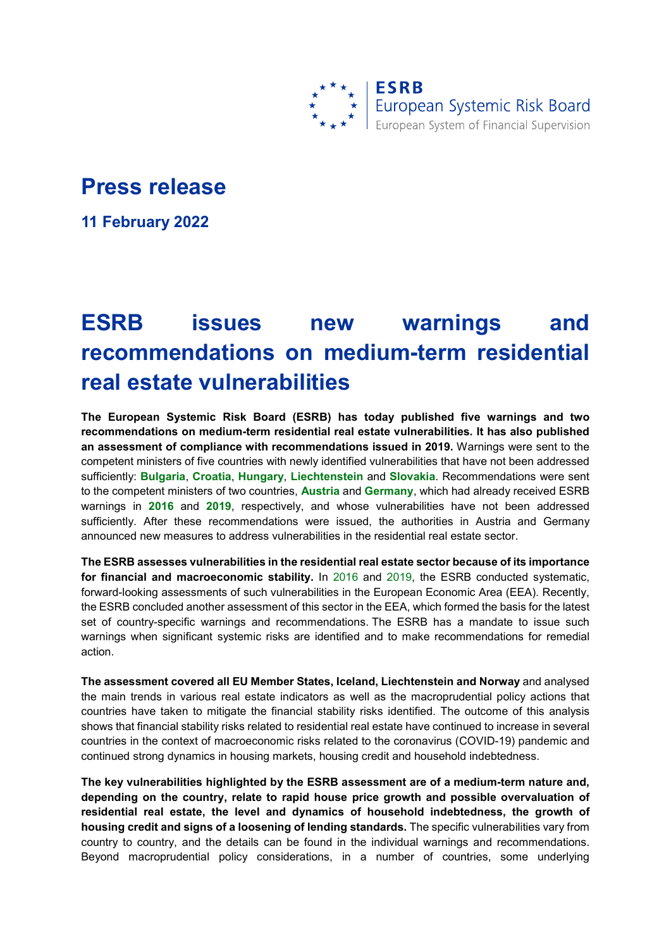

## **Press release**

**11 February 2022**

## **ESRB issues new warnings and recommendations on medium-term residential real estate vulnerabilities**

**The European Systemic Risk Board (ESRB) has today published five warnings and two recommendations on medium-term residential real estate vulnerabilities. It has also published an assessment of compliance with recommendations issued in 2019.** Warnings were sent to the competent ministers of five countries with newly identified vulnerabilities that have not been addressed sufficiently: **[Bulgaria](https://www.esrb.europa.eu/pub/pdf/warnings/esrb.warning220211_bg%7Ef7b93707f7.en.pdf?fbf083a11ea977c5580184eee805571e)**, **[Croatia](https://www.esrb.europa.eu/pub/pdf/warnings/esrb.warning220211_hr%7Ede0c87d337.en.pdf?a9491842d7d321478598c898723182ef)**, **[Hungary](https://www.esrb.europa.eu/pub/pdf/warnings/esrb.warning220211_hu%7Ed4cf8ca643.en.pdf?938e04134e5f9cab20ad28a731c78c94)**, **[Liechtenstein](https://www.esrb.europa.eu/pub/pdf/warnings/esrb.warning220211_li%7E02eb89580d.en.pdf?f3f0f0046a6b3ff69b9f01231091fac9)** and **[Slovakia](https://www.esrb.europa.eu/pub/pdf/warnings/esrb.warning220211_sk%7E3202facca9.en.pdf?fe8842e10ec9aba0deaea37d91748d2c)**. Recommendations were sent to the competent ministers of two countries, **[Austria](https://www.esrb.europa.eu/pub/pdf/recommendations/220207_ESRB_AT_recommendation.en.pdf?385471ba050cc4008919ce4b336048cb)** and **[Germany](https://www.esrb.europa.eu/pub/pdf/recommendations/220211_ESRB_DE_recommendation%7E1ffaaee3f0.en.pdf?aff2dff7c6576ab8b96c487057501127)**, which had already received ESRB warnings in **[2016](https://www.esrb.europa.eu/pub/pdf/warnings/161128_ESRB_AT_warning.en.pdf?efe7723e1c26749e87dd8dc2fd212d3d)** and **[2019](https://www.esrb.europa.eu/pub/pdf/warnings/esrb.warning190923_de_warning%7E6e31e93446.en.pdf?926b167901fb0c238cfe175a62ee3073)**, respectively, and whose vulnerabilities have not been addressed sufficiently. After these recommendations were issued, the authorities in Austria and Germany announced new measures to address vulnerabilities in the residential real estate sector.

**The ESRB assesses vulnerabilities in the residential real estate sector because of its importance for financial and macroeconomic stability.** In [2016](https://www.esrb.europa.eu/pub/pdf/reports/161128_vulnerabilities_eu_residential_real_estate_sector.en.pdf) and [2019,](https://www.esrb.europa.eu/pub/pdf/reports/esrb.report190923_vulnerabilities_eea_countries%7Ea4864b42bf.en.pdf) the ESRB conducted systematic, forward-looking assessments of such vulnerabilities in the European Economic Area (EEA). Recently, the ESRB concluded another assessment of this sector in the EEA, which formed the basis for the latest set of country-specific warnings and recommendations. The ESRB has a mandate to issue such warnings when significant systemic risks are identified and to make recommendations for remedial action.

**The assessment covered all EU Member States, Iceland, Liechtenstein and Norway** and analysed the main trends in various real estate indicators as well as the macroprudential policy actions that countries have taken to mitigate the financial stability risks identified. The outcome of this analysis shows that financial stability risks related to residential real estate have continued to increase in several countries in the context of macroeconomic risks related to the coronavirus (COVID-19) pandemic and continued strong dynamics in housing markets, housing credit and household indebtedness.

**The key vulnerabilities highlighted by the ESRB assessment are of a medium-term nature and, depending on the country, relate to rapid house price growth and possible overvaluation of residential real estate, the level and dynamics of household indebtedness, the growth of housing credit and signs of a loosening of lending standards.** The specific vulnerabilities vary from country to country, and the details can be found in the individual warnings and recommendations. Beyond macroprudential policy considerations, in a number of countries, some underlying